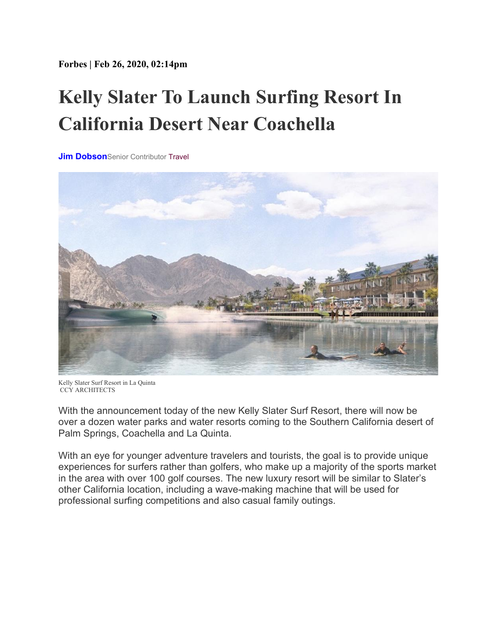**Forbes | Feb 26, 2020, 02:14pm**

## **Kelly Slater To Launch Surfing Resort In California Desert Near Coachella**

**[Jim Dobson](https://www.forbes.com/sites/jimdobson/)**Senior Contributor [Travel](https://www.forbes.com/travel)



Kelly Slater Surf Resort in La Quinta CCY ARCHITECTS

With the announcement today of the new Kelly Slater Surf Resort, there will now be over a dozen water parks and water resorts coming to the Southern California desert of Palm Springs, Coachella and La Quinta.

With an eye for younger adventure travelers and tourists, the goal is to provide unique experiences for surfers rather than golfers, who make up a majority of the sports market in the area with over 100 golf courses. The new luxury resort will be similar to Slater's other California location, including a wave-making machine that will be used for professional surfing competitions and also casual family outings.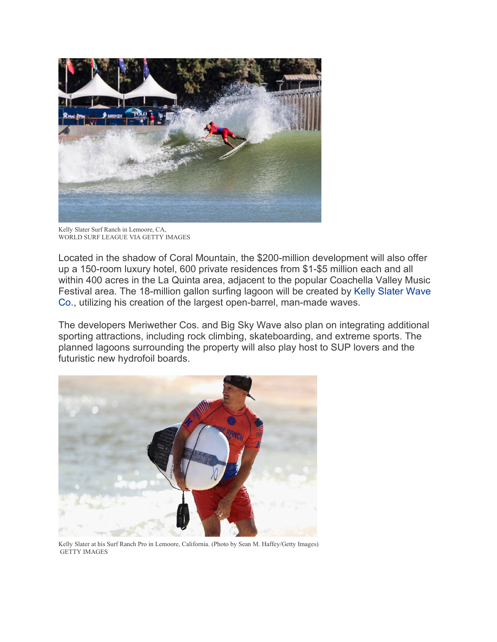

Kelly Slater Surf Ranch in Lemoore, CA, WORLD SURF LEAGUE VIA GETTY IMAGES

Located in the shadow of Coral Mountain, the \$200-million development will also offer up a 150-room luxury hotel, 600 private residences from \$1-\$5 million each and all within 400 acres in the La Quinta area, adjacent to the popular Coachella Valley Music Festival area. The 18-million gallon surfing lagoon will be created by [Kelly Slater Wave](http://www.kswaveco.com/)  [Co.,](http://www.kswaveco.com/) utilizing his creation of the largest open-barrel, man-made waves.

The developers Meriwether Cos. and Big Sky Wave also plan on integrating additional sporting attractions, including rock climbing, skateboarding, and extreme sports. The planned lagoons surrounding the property will also play host to SUP lovers and the futuristic new hydrofoil boards.



Kelly Slater at his Surf Ranch Pro in Lemoore, California. (Photo by Sean M. Haffey/Getty Images) GETTY IMAGES